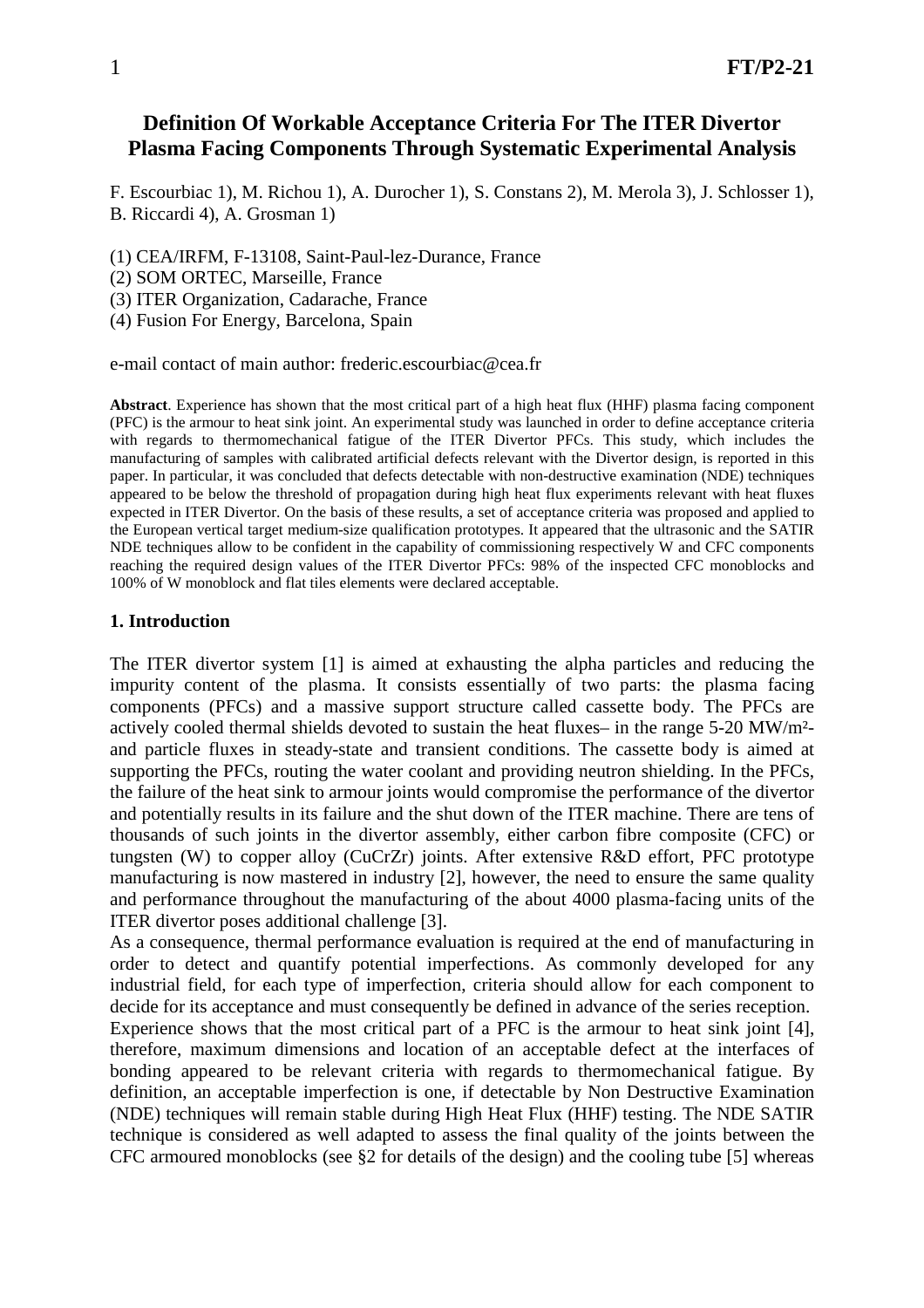# **Definition Of Workable Acceptance Criteria For The ITER Divertor Plasma Facing Components Through Systematic Experimental Analysis**

F. Escourbiac 1), M. Richou 1), A. Durocher 1), S. Constans 2), M. Merola 3), J. Schlosser 1), B. Riccardi 4), A. Grosman 1)

- (1) CEA/IRFM, F-13108, Saint-Paul-lez-Durance, France
- (2) SOM ORTEC, Marseille, France
- (3) ITER Organization, Cadarache, France

(4) Fusion For Energy, Barcelona, Spain

e-mail contact of main author: frederic.escourbiac@cea.fr

**Abstract**. Experience has shown that the most critical part of a high heat flux (HHF) plasma facing component (PFC) is the armour to heat sink joint. An experimental study was launched in order to define acceptance criteria with regards to thermomechanical fatigue of the ITER Divertor PFCs. This study, which includes the manufacturing of samples with calibrated artificial defects relevant with the Divertor design, is reported in this paper. In particular, it was concluded that defects detectable with non-destructive examination (NDE) techniques appeared to be below the threshold of propagation during high heat flux experiments relevant with heat fluxes expected in ITER Divertor. On the basis of these results, a set of acceptance criteria was proposed and applied to the European vertical target medium-size qualification prototypes. It appeared that the ultrasonic and the SATIR NDE techniques allow to be confident in the capability of commissioning respectively W and CFC components reaching the required design values of the ITER Divertor PFCs: 98% of the inspected CFC monoblocks and 100% of W monoblock and flat tiles elements were declared acceptable.

#### **1. Introduction**

The ITER divertor system [1] is aimed at exhausting the alpha particles and reducing the impurity content of the plasma. It consists essentially of two parts: the plasma facing components (PFCs) and a massive support structure called cassette body. The PFCs are actively cooled thermal shields devoted to sustain the heat fluxes– in the range 5-20 MW/m² and particle fluxes in steady-state and transient conditions. The cassette body is aimed at supporting the PFCs, routing the water coolant and providing neutron shielding. In the PFCs, the failure of the heat sink to armour joints would compromise the performance of the divertor and potentially results in its failure and the shut down of the ITER machine. There are tens of thousands of such joints in the divertor assembly, either carbon fibre composite (CFC) or tungsten (W) to copper alloy (CuCrZr) joints. After extensive R&D effort, PFC prototype manufacturing is now mastered in industry [2], however, the need to ensure the same quality and performance throughout the manufacturing of the about 4000 plasma-facing units of the ITER divertor poses additional challenge [3].

As a consequence, thermal performance evaluation is required at the end of manufacturing in order to detect and quantify potential imperfections. As commonly developed for any industrial field, for each type of imperfection, criteria should allow for each component to decide for its acceptance and must consequently be defined in advance of the series reception. Experience shows that the most critical part of a PFC is the armour to heat sink joint [4], therefore, maximum dimensions and location of an acceptable defect at the interfaces of bonding appeared to be relevant criteria with regards to thermomechanical fatigue. By definition, an acceptable imperfection is one, if detectable by Non Destructive Examination (NDE) techniques will remain stable during High Heat Flux (HHF) testing. The NDE SATIR technique is considered as well adapted to assess the final quality of the joints between the CFC armoured monoblocks (see §2 for details of the design) and the cooling tube [5] whereas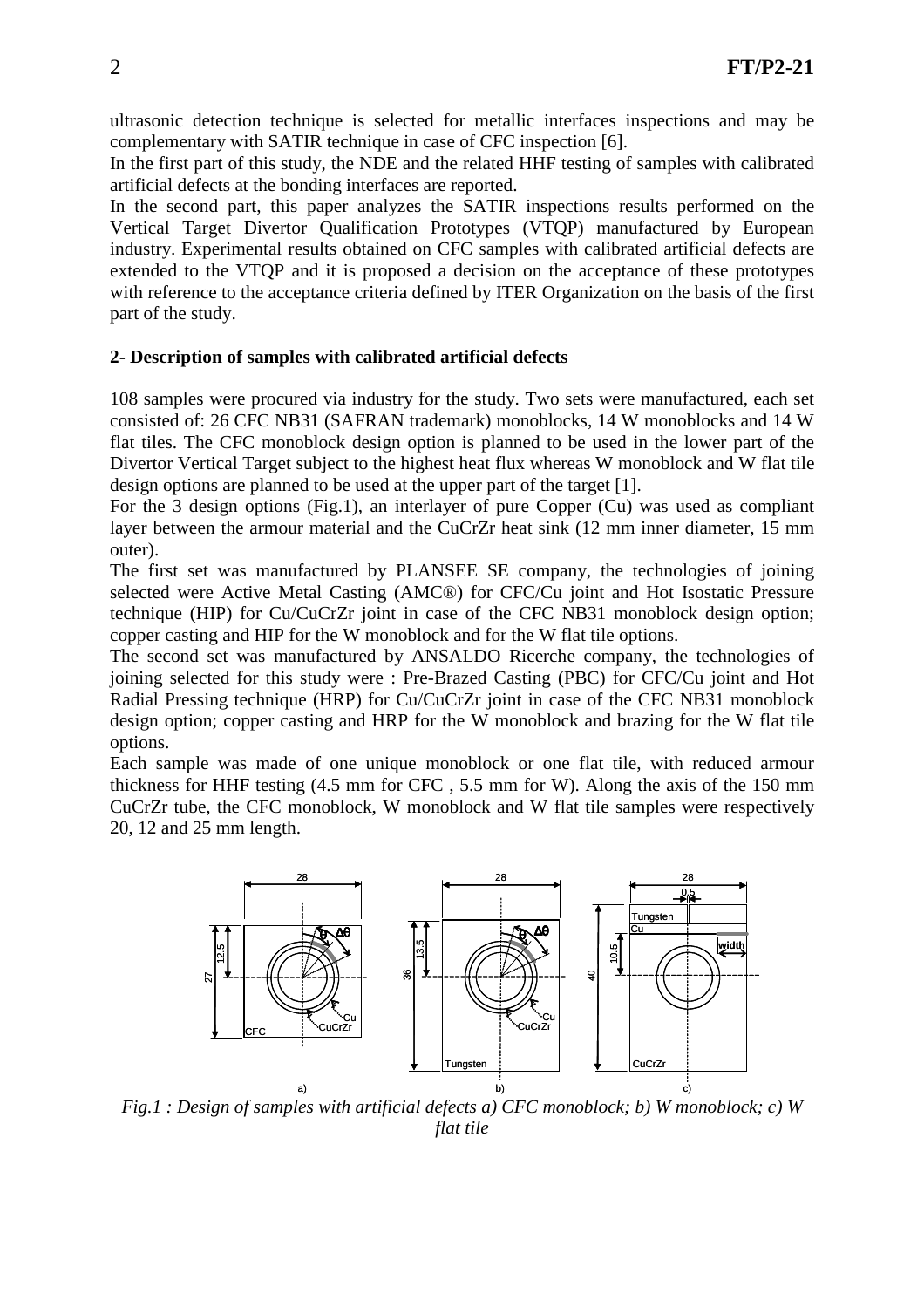ultrasonic detection technique is selected for metallic interfaces inspections and may be complementary with SATIR technique in case of CFC inspection [6].

In the first part of this study, the NDE and the related HHF testing of samples with calibrated artificial defects at the bonding interfaces are reported.

In the second part, this paper analyzes the SATIR inspections results performed on the Vertical Target Divertor Qualification Prototypes (VTQP) manufactured by European industry. Experimental results obtained on CFC samples with calibrated artificial defects are extended to the VTQP and it is proposed a decision on the acceptance of these prototypes with reference to the acceptance criteria defined by ITER Organization on the basis of the first part of the study.

#### **2- Description of samples with calibrated artificial defects**

108 samples were procured via industry for the study. Two sets were manufactured, each set consisted of: 26 CFC NB31 (SAFRAN trademark) monoblocks, 14 W monoblocks and 14 W flat tiles. The CFC monoblock design option is planned to be used in the lower part of the Divertor Vertical Target subject to the highest heat flux whereas W monoblock and W flat tile design options are planned to be used at the upper part of the target [1].

For the 3 design options (Fig.1), an interlayer of pure Copper (Cu) was used as compliant layer between the armour material and the CuCrZr heat sink (12 mm inner diameter, 15 mm outer).

The first set was manufactured by PLANSEE SE company, the technologies of joining selected were Active Metal Casting (AMC®) for CFC/Cu joint and Hot Isostatic Pressure technique (HIP) for Cu/CuCrZr joint in case of the CFC NB31 monoblock design option; copper casting and HIP for the W monoblock and for the W flat tile options.

The second set was manufactured by ANSALDO Ricerche company, the technologies of joining selected for this study were : Pre-Brazed Casting (PBC) for CFC/Cu joint and Hot Radial Pressing technique (HRP) for Cu/CuCrZr joint in case of the CFC NB31 monoblock design option; copper casting and HRP for the W monoblock and brazing for the W flat tile options.

Each sample was made of one unique monoblock or one flat tile, with reduced armour thickness for HHF testing (4.5 mm for CFC , 5.5 mm for W). Along the axis of the 150 mm CuCrZr tube, the CFC monoblock, W monoblock and W flat tile samples were respectively 20, 12 and 25 mm length.



*Fig.1 : Design of samples with artificial defects a) CFC monoblock; b) W monoblock; c) W flat tile*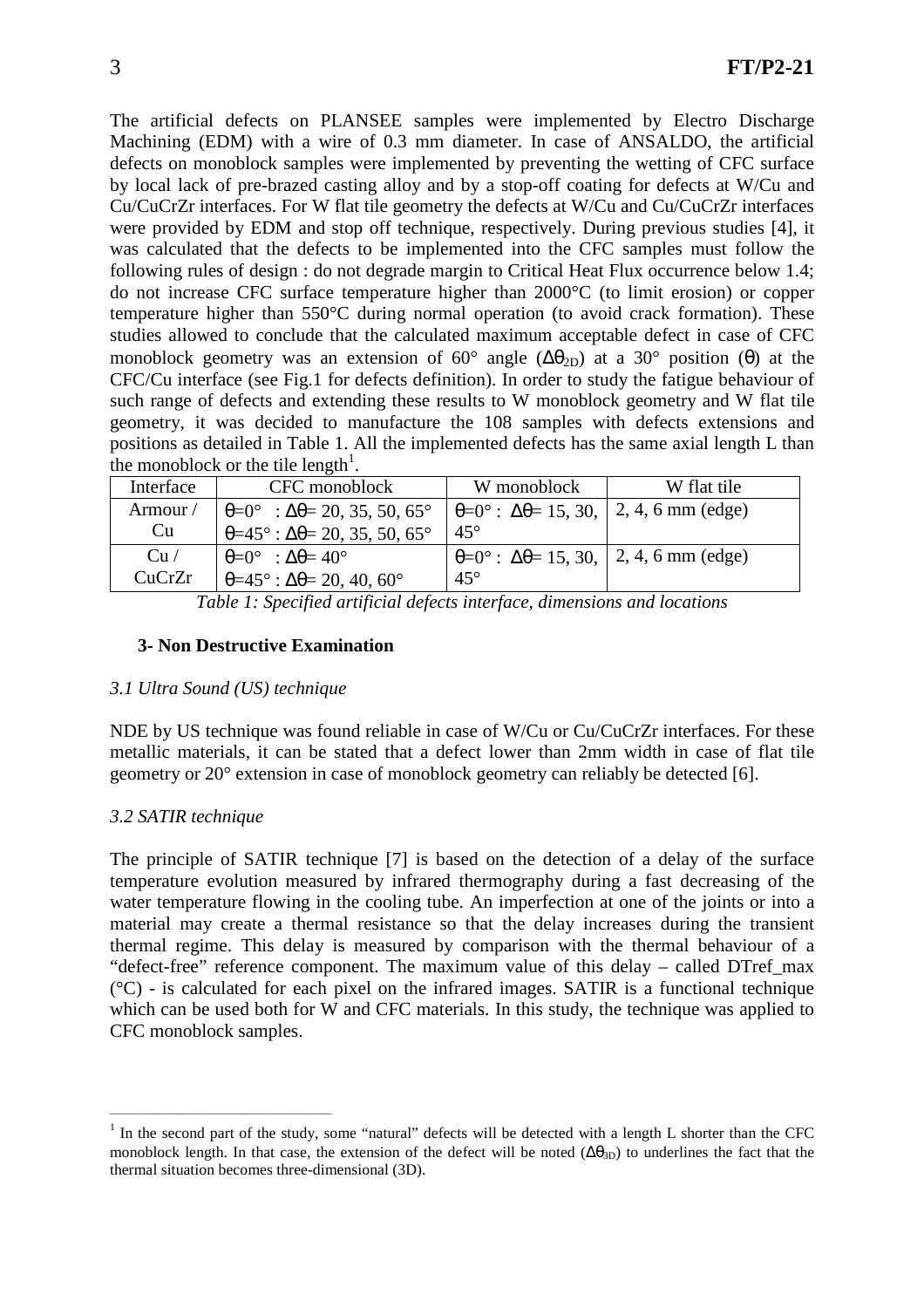The artificial defects on PLANSEE samples were implemented by Electro Discharge Machining (EDM) with a wire of 0.3 mm diameter. In case of ANSALDO, the artificial defects on monoblock samples were implemented by preventing the wetting of CFC surface by local lack of pre-brazed casting alloy and by a stop-off coating for defects at W/Cu and Cu/CuCrZr interfaces. For W flat tile geometry the defects at W/Cu and Cu/CuCrZr interfaces were provided by EDM and stop off technique, respectively. During previous studies [4], it was calculated that the defects to be implemented into the CFC samples must follow the following rules of design : do not degrade margin to Critical Heat Flux occurrence below 1.4; do not increase CFC surface temperature higher than 2000°C (to limit erosion) or copper temperature higher than 550°C during normal operation (to avoid crack formation). These studies allowed to conclude that the calculated maximum acceptable defect in case of CFC monoblock geometry was an extension of 60° angle  $(\Delta \theta_{2D})$  at a 30° position (θ) at the CFC/Cu interface (see Fig.1 for defects definition). In order to study the fatigue behaviour of such range of defects and extending these results to W monoblock geometry and W flat tile geometry, it was decided to manufacture the 108 samples with defects extensions and positions as detailed in Table 1. All the implemented defects has the same axial length L than the monoblock or the tile length<sup>1</sup>.

| Interface | CFC monoblock                                                    | W monoblock                                                                  | W flat tile |  |
|-----------|------------------------------------------------------------------|------------------------------------------------------------------------------|-------------|--|
| Armour /  | $\theta = 0^{\circ}$ : $\Delta \theta = 20, 35, 50, 65^{\circ}$  | $\theta = 0^{\circ}$ : $\Delta \theta = 15, 30,   2, 4, 6 \text{ mm}$ (edge) |             |  |
| Cu        | $\theta = 45^{\circ}$ : $\Delta \theta = 20, 35, 50, 65^{\circ}$ | $45^{\circ}$                                                                 |             |  |
| Cu/       | $\theta = 0^{\circ}$ : $\Delta \theta = 40^{\circ}$              | $\theta = 0^{\circ}$ : $\Delta \theta = 15, 30,   2, 4, 6 \text{ mm}$ (edge) |             |  |
| CuCrZr    | $\theta = 45^\circ$ : $\Delta\theta = 20, 40, 60^\circ$          | $45^{\circ}$                                                                 |             |  |

*Table 1: Specified artificial defects interface, dimensions and locations* 

#### **3- Non Destructive Examination**

#### *3.1 Ultra Sound (US) technique*

\_\_\_\_\_\_\_\_\_\_\_\_\_\_\_\_\_\_\_\_\_\_\_\_\_\_\_\_\_\_\_\_\_\_\_\_\_\_\_\_\_\_\_\_

NDE by US technique was found reliable in case of W/Cu or Cu/CuCrZr interfaces. For these metallic materials, it can be stated that a defect lower than 2mm width in case of flat tile geometry or 20° extension in case of monoblock geometry can reliably be detected [6].

### *3.2 SATIR technique*

The principle of SATIR technique [7] is based on the detection of a delay of the surface temperature evolution measured by infrared thermography during a fast decreasing of the water temperature flowing in the cooling tube. An imperfection at one of the joints or into a material may create a thermal resistance so that the delay increases during the transient thermal regime. This delay is measured by comparison with the thermal behaviour of a "defect-free" reference component. The maximum value of this delay – called DTref\_max  $({}^{\circ}C)$  - is calculated for each pixel on the infrared images. SATIR is a functional technique which can be used both for W and CFC materials. In this study, the technique was applied to CFC monoblock samples.

 $<sup>1</sup>$  In the second part of the study, some "natural" defects will be detected with a length L shorter than the CFC</sup> monoblock length. In that case, the extension of the defect will be noted  $(\Delta\theta_{3D})$  to underlines the fact that the thermal situation becomes three-dimensional (3D).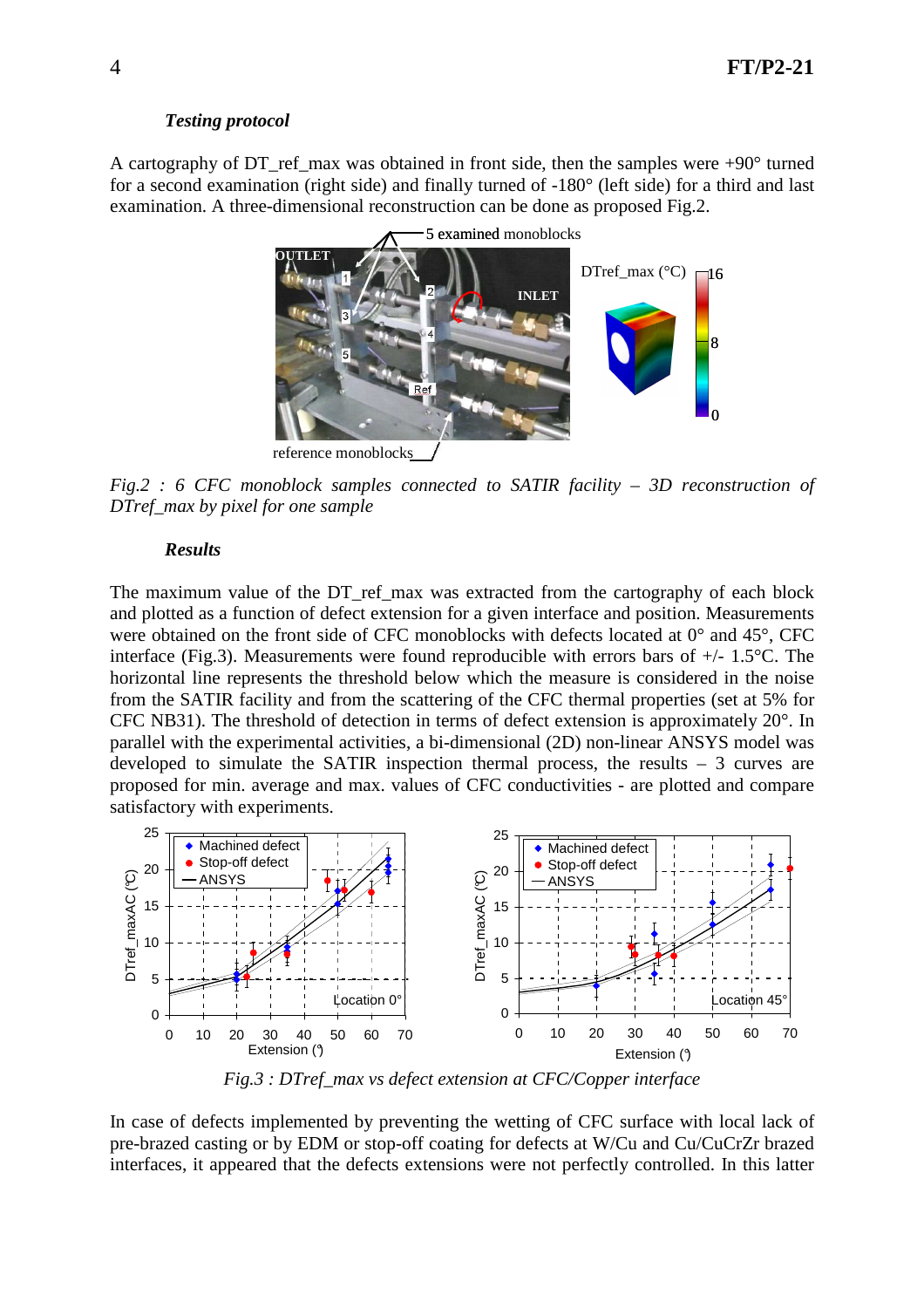### *Testing protocol*

A cartography of DT ref\_max was obtained in front side, then the samples were  $+90^\circ$  turned for a second examination (right side) and finally turned of -180° (left side) for a third and last examination. A three-dimensional reconstruction can be done as proposed Fig.2.



*Fig.2 : 6 CFC monoblock samples connected to SATIR facility – 3D reconstruction of DTref\_max by pixel for one sample* 

#### *Results*

The maximum value of the DT ref\_max was extracted from the cartography of each block and plotted as a function of defect extension for a given interface and position. Measurements were obtained on the front side of CFC monoblocks with defects located at  $0^{\circ}$  and  $45^{\circ}$ , CFC interface (Fig.3). Measurements were found reproducible with errors bars of +/- 1.5°C. The horizontal line represents the threshold below which the measure is considered in the noise from the SATIR facility and from the scattering of the CFC thermal properties (set at 5% for CFC NB31). The threshold of detection in terms of defect extension is approximately 20°. In parallel with the experimental activities, a bi-dimensional (2D) non-linear ANSYS model was developed to simulate the SATIR inspection thermal process, the results – 3 curves are proposed for min. average and max. values of CFC conductivities - are plotted and compare satisfactory with experiments.



*Fig.3 : DTref\_max vs defect extension at CFC/Copper interface* 

In case of defects implemented by preventing the wetting of CFC surface with local lack of pre-brazed casting or by EDM or stop-off coating for defects at W/Cu and Cu/CuCrZr brazed interfaces, it appeared that the defects extensions were not perfectly controlled. In this latter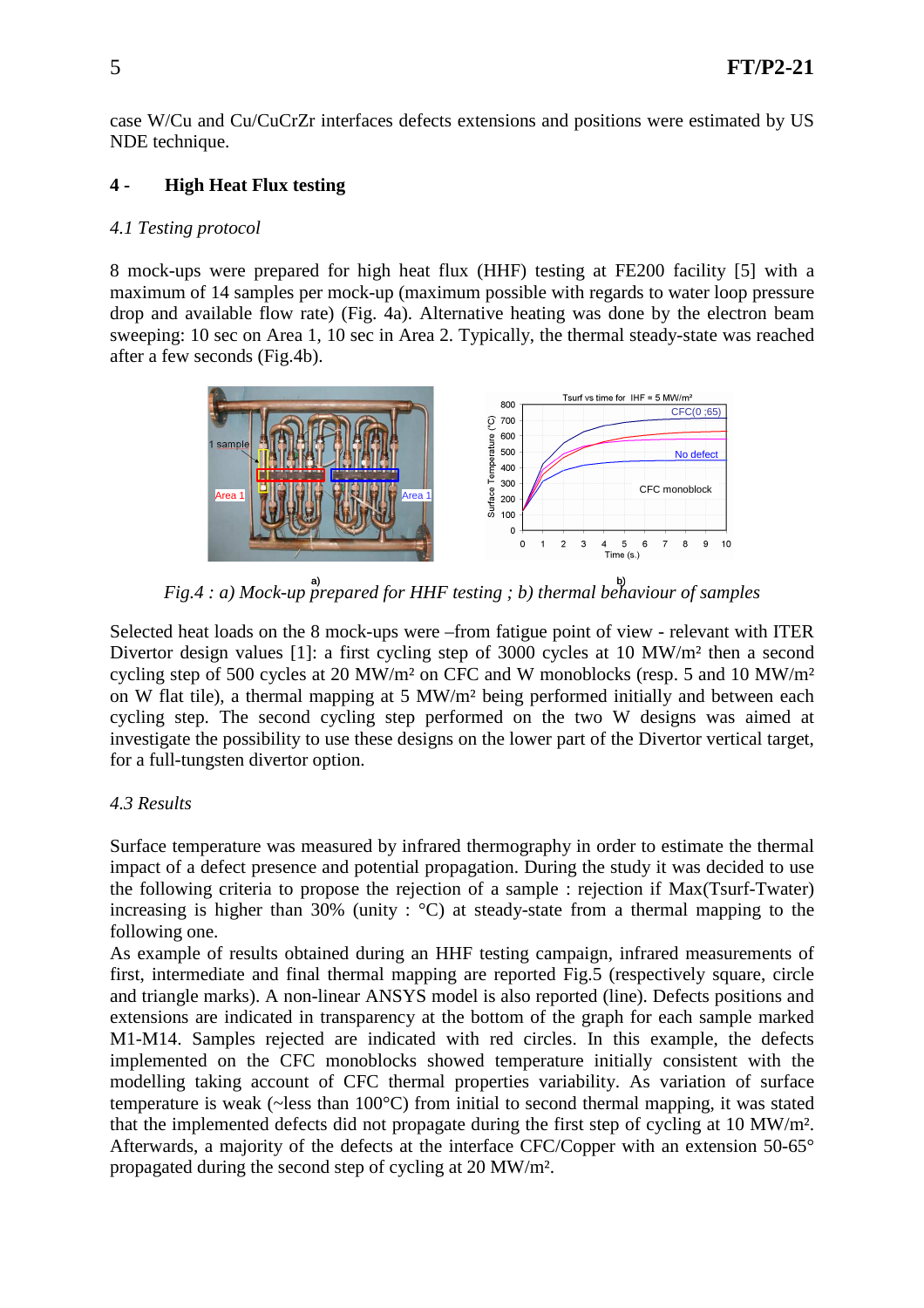case W/Cu and Cu/CuCrZr interfaces defects extensions and positions were estimated by US NDE technique.

## **4 - High Heat Flux testing**

### *4.1 Testing protocol*

8 mock-ups were prepared for high heat flux (HHF) testing at FE200 facility [5] with a maximum of 14 samples per mock-up (maximum possible with regards to water loop pressure drop and available flow rate) (Fig. 4a). Alternative heating was done by the electron beam sweeping: 10 sec on Area 1, 10 sec in Area 2. Typically, the thermal steady-state was reached after a few seconds (Fig.4b).



*Fig.4* : *a*) Mock-up prepared for HHF testing ; b) thermal behaviour of samples

Selected heat loads on the 8 mock-ups were –from fatigue point of view - relevant with ITER Divertor design values [1]: a first cycling step of 3000 cycles at 10 MW/m² then a second cycling step of 500 cycles at 20 MW/m² on CFC and W monoblocks (resp. 5 and 10 MW/m² on W flat tile), a thermal mapping at 5 MW/m² being performed initially and between each cycling step. The second cycling step performed on the two W designs was aimed at investigate the possibility to use these designs on the lower part of the Divertor vertical target, for a full-tungsten divertor option.

## *4.3 Results*

Surface temperature was measured by infrared thermography in order to estimate the thermal impact of a defect presence and potential propagation. During the study it was decided to use the following criteria to propose the rejection of a sample : rejection if Max(Tsurf-Twater) increasing is higher than 30% (unity :  $\degree$ C) at steady-state from a thermal mapping to the following one.

As example of results obtained during an HHF testing campaign, infrared measurements of first, intermediate and final thermal mapping are reported Fig.5 (respectively square, circle and triangle marks). A non-linear ANSYS model is also reported (line). Defects positions and extensions are indicated in transparency at the bottom of the graph for each sample marked M1-M14. Samples rejected are indicated with red circles. In this example, the defects implemented on the CFC monoblocks showed temperature initially consistent with the modelling taking account of CFC thermal properties variability. As variation of surface temperature is weak (~less than 100°C) from initial to second thermal mapping, it was stated that the implemented defects did not propagate during the first step of cycling at 10 MW/m². Afterwards, a majority of the defects at the interface CFC/Copper with an extension 50-65° propagated during the second step of cycling at 20 MW/m².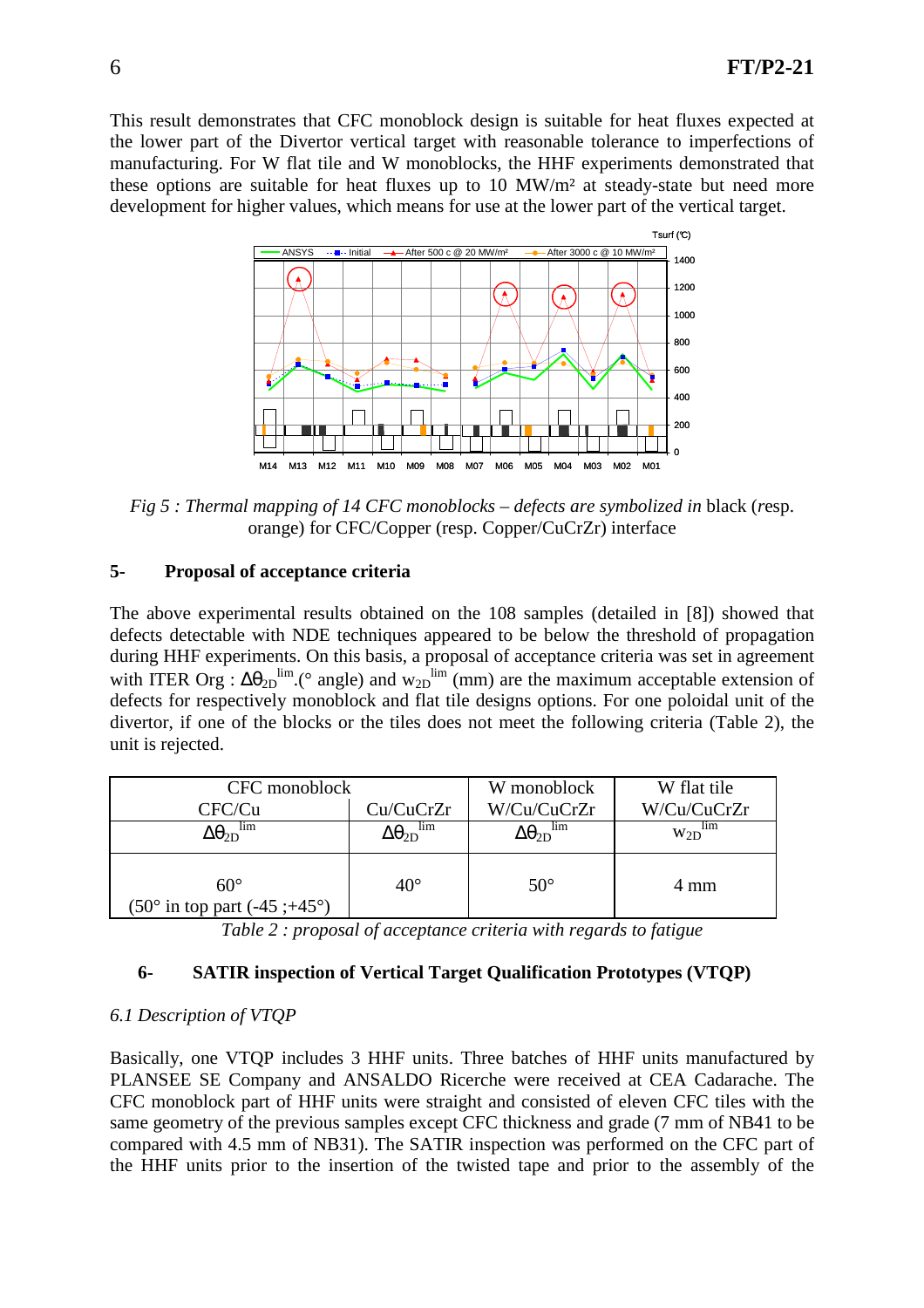This result demonstrates that CFC monoblock design is suitable for heat fluxes expected at the lower part of the Divertor vertical target with reasonable tolerance to imperfections of manufacturing. For W flat tile and W monoblocks, the HHF experiments demonstrated that these options are suitable for heat fluxes up to 10 MW/m² at steady-state but need more development for higher values, which means for use at the lower part of the vertical target.



*Fig 5 : Thermal mapping of 14 CFC monoblocks – defects are symbolized in black (resp.* orange) for CFC/Copper (resp. Copper/CuCrZr) interface

### **5- Proposal of acceptance criteria**

The above experimental results obtained on the 108 samples (detailed in [8]) showed that defects detectable with NDE techniques appeared to be below the threshold of propagation during HHF experiments. On this basis, a proposal of acceptance criteria was set in agreement with ITER Org :  $\Delta\theta_{2D}^{\text{lim}}$ . (° angle) and w<sub>2D</sub><sup>lim</sup> (mm) are the maximum acceptable extension of defects for respectively monoblock and flat tile designs options. For one poloidal unit of the divertor, if one of the blocks or the tiles does not meet the following criteria (Table 2), the unit is rejected.

| CFC monoblock                                                  |                                   | W monoblock                       | W flat tile |  |
|----------------------------------------------------------------|-----------------------------------|-----------------------------------|-------------|--|
| CFC/Cu                                                         | Cu/CuCrZr                         | W/Cu/CuCrZr                       | W/Cu/CuCrZr |  |
| lim<br>$\Delta\theta_{2D}$                                     | lim<br>$\Delta\Theta_{\text{2D}}$ | lım<br>$\Delta\Theta_{\text{2D}}$ | 11m<br>W2D  |  |
| $60^{\circ}$<br>$(50^{\circ}$ in top part $(-45; +45^{\circ})$ | $40^{\circ}$                      | $50^{\circ}$                      | 4 mm        |  |

*Table 2 : proposal of acceptance criteria with regards to fatigue* 

## **6- SATIR inspection of Vertical Target Qualification Prototypes (VTQP)**

### *6.1 Description of VTQP*

Basically, one VTQP includes 3 HHF units. Three batches of HHF units manufactured by PLANSEE SE Company and ANSALDO Ricerche were received at CEA Cadarache. The CFC monoblock part of HHF units were straight and consisted of eleven CFC tiles with the same geometry of the previous samples except CFC thickness and grade (7 mm of NB41 to be compared with 4.5 mm of NB31). The SATIR inspection was performed on the CFC part of the HHF units prior to the insertion of the twisted tape and prior to the assembly of the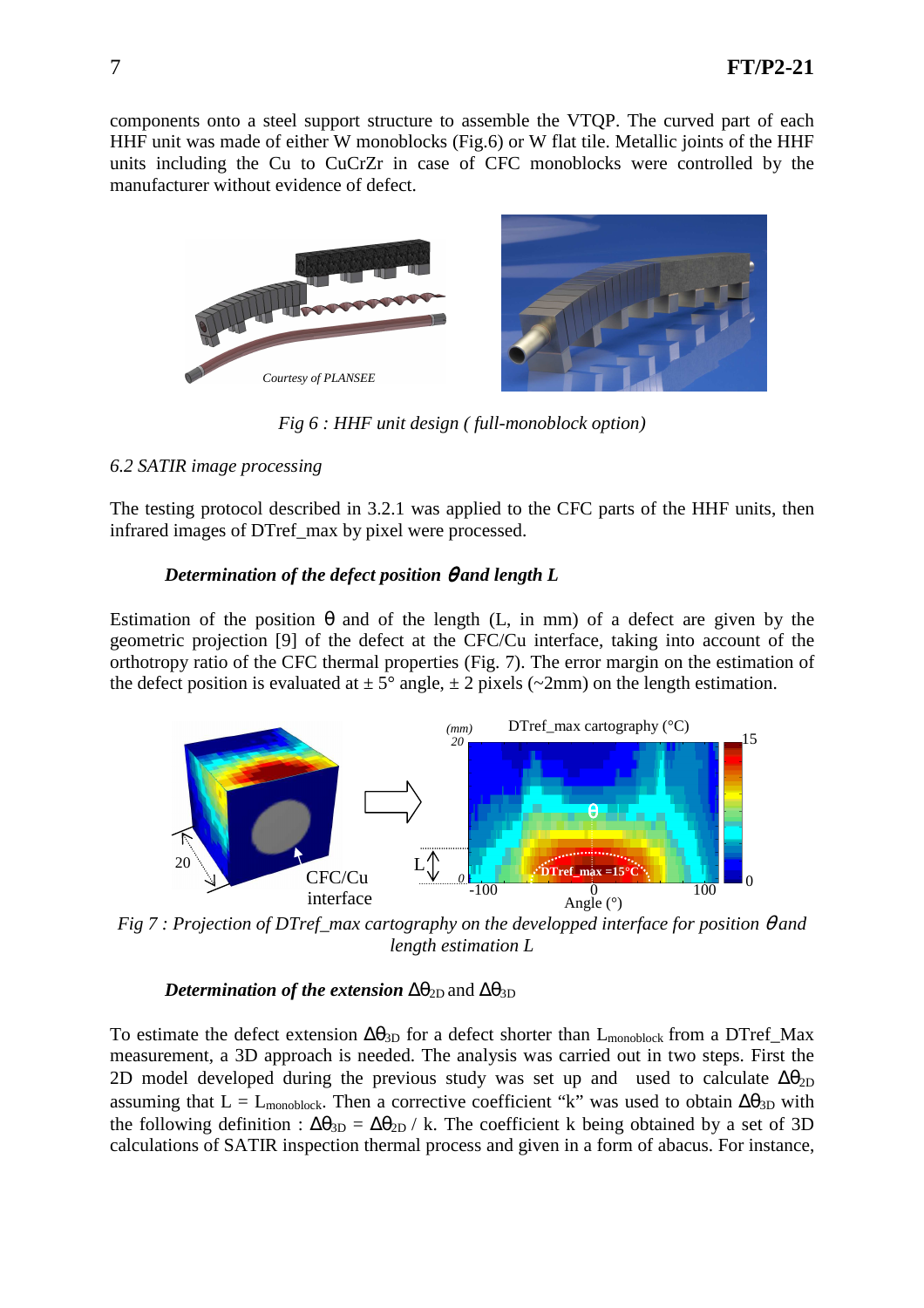components onto a steel support structure to assemble the VTQP. The curved part of each HHF unit was made of either W monoblocks (Fig.6) or W flat tile. Metallic joints of the HHF units including the Cu to CuCrZr in case of CFC monoblocks were controlled by the manufacturer without evidence of defect.



*Fig 6 : HHF unit design ( full-monoblock option)* 

## *6.2 SATIR image processing*

The testing protocol described in 3.2.1 was applied to the CFC parts of the HHF units, then infrared images of DTref\_max by pixel were processed.

## *Determination of the defect position θ and length L*

Estimation of the position  $\theta$  and of the length (L, in mm) of a defect are given by the geometric projection [9] of the defect at the CFC/Cu interface, taking into account of the orthotropy ratio of the CFC thermal properties (Fig. 7). The error margin on the estimation of the defect position is evaluated at  $\pm 5^{\circ}$  angle,  $\pm 2$  pixels (~2mm) on the length estimation.



*Fig 7 : Projection of DTref\_max cartography on the developped interface for position θ and length estimation L* 

## *Determination of the extension*  $\Delta\theta_{2D}$  and  $\Delta\theta_{3D}$

To estimate the defect extension  $\Delta\theta_{3D}$  for a defect shorter than L<sub>monoblock</sub> from a DTref\_Max measurement, a 3D approach is needed. The analysis was carried out in two steps. First the 2D model developed during the previous study was set up and used to calculate  $\Delta\theta_{2D}$ assuming that L = L<sub>monoblock</sub>. Then a corrective coefficient "k" was used to obtain  $\Delta\theta_{3D}$  with the following definition :  $\Delta\theta_{3D} = \Delta\theta_{2D}$  / k. The coefficient k being obtained by a set of 3D calculations of SATIR inspection thermal process and given in a form of abacus. For instance,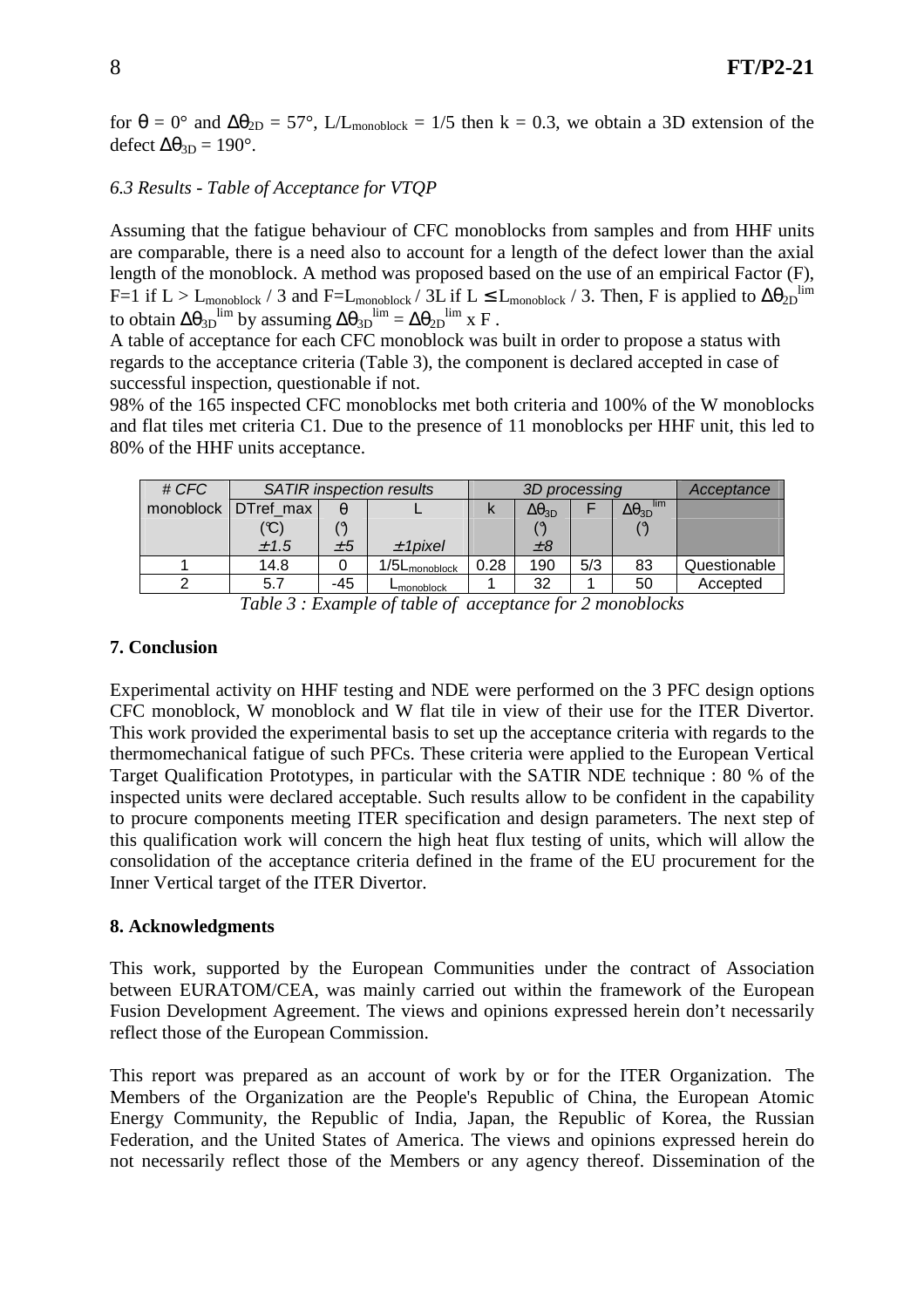for  $\theta = 0^{\circ}$  and  $\Delta \theta_{2D} = 57^{\circ}$ , L/L<sub>monoblock</sub> = 1/5 then k = 0.3, we obtain a 3D extension of the defect  $Δθ<sub>3D</sub> = 190°$ .

### *6.3 Results - Table of Acceptance for VTQP*

Assuming that the fatigue behaviour of CFC monoblocks from samples and from HHF units are comparable, there is a need also to account for a length of the defect lower than the axial length of the monoblock. A method was proposed based on the use of an empirical Factor (F), F=1 if L > L<sub>monoblock</sub> / 3 and F=L<sub>monoblock</sub> / 3L if L ≤ L<sub>monoblock</sub> / 3. Then, F is applied to  $\Delta\theta_{2D}$ <sup>lim</sup> to obtain  $\Delta\theta_{3D}$ <sup>lim</sup> by assuming  $\Delta\theta_{3D}$ <sup>lim</sup> =  $\Delta\theta_{2D}$ <sup>lim</sup> x F.

A table of acceptance for each CFC monoblock was built in order to propose a status with regards to the acceptance criteria (Table 3), the component is declared accepted in case of successful inspection, questionable if not.

98% of the 165 inspected CFC monoblocks met both criteria and 100% of the W monoblocks and flat tiles met criteria C1. Due to the presence of 11 monoblocks per HHF unit, this led to 80% of the HHF units acceptance.

| # CFC                                                                   | <b>SATIR</b> inspection results |     |                           | 3D processing |                     |     |                            | Acceptance   |
|-------------------------------------------------------------------------|---------------------------------|-----|---------------------------|---------------|---------------------|-----|----------------------------|--------------|
| monoblock                                                               | DTref max                       |     |                           | N             | $\Delta\theta_{3D}$ |     | lim<br>$\Delta\theta_{3D}$ |              |
|                                                                         | $^{\prime}$ C $^{\prime}$       |     |                           |               |                     |     |                            |              |
|                                                                         | ± 1.5                           | ± 5 | $±$ 1 pixel               |               | $\pm 8$             |     |                            |              |
|                                                                         | 14.8                            |     | 1/5L <sub>monoblock</sub> | 0.28          | 190                 | 5/3 | 83                         | Questionable |
|                                                                         | 5.7                             | -45 | L <sub>monoblock</sub>    |               | 32                  |     | 50                         | Accepted     |
| $-11$<br>$\alpha$ 11 $\alpha$<br>$\sim$<br>$\sim$<br>$\cdots$<br>$\sim$ |                                 |     |                           |               |                     |     |                            |              |

*Table 3 : Example of table of acceptance for 2 monoblocks* 

#### **7. Conclusion**

Experimental activity on HHF testing and NDE were performed on the 3 PFC design options CFC monoblock, W monoblock and W flat tile in view of their use for the ITER Divertor. This work provided the experimental basis to set up the acceptance criteria with regards to the thermomechanical fatigue of such PFCs. These criteria were applied to the European Vertical Target Qualification Prototypes, in particular with the SATIR NDE technique : 80 % of the inspected units were declared acceptable. Such results allow to be confident in the capability to procure components meeting ITER specification and design parameters. The next step of this qualification work will concern the high heat flux testing of units, which will allow the consolidation of the acceptance criteria defined in the frame of the EU procurement for the Inner Vertical target of the ITER Divertor.

### **8. Acknowledgments**

This work, supported by the European Communities under the contract of Association between EURATOM/CEA, was mainly carried out within the framework of the European Fusion Development Agreement. The views and opinions expressed herein don't necessarily reflect those of the European Commission.

This report was prepared as an account of work by or for the ITER Organization. The Members of the Organization are the People's Republic of China, the European Atomic Energy Community, the Republic of India, Japan, the Republic of Korea, the Russian Federation, and the United States of America. The views and opinions expressed herein do not necessarily reflect those of the Members or any agency thereof. Dissemination of the